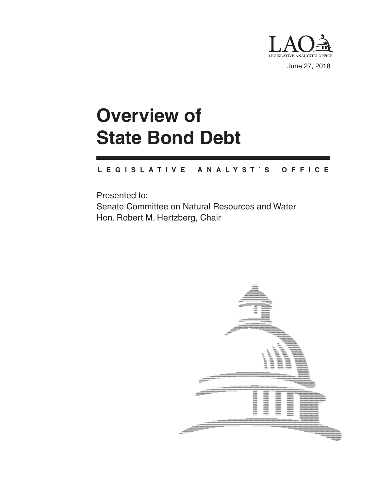

**Overview of State Bond Debt**

#### **L E G I S L A T I V E A N A L Y S T ' S O F F I C E**

Presented to: Senate Committee on Natural Resources and Water Hon. Robert M. Hertzberg, Chair

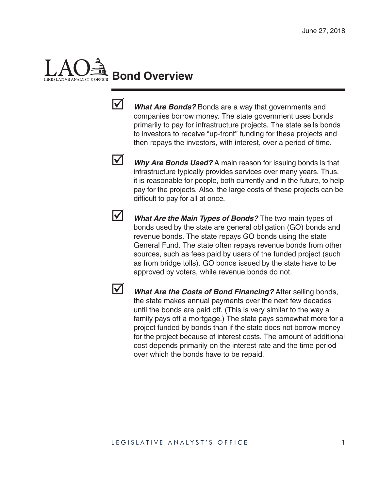# **Bond Overview**



**V** What Are Bonds? Bonds are a way that governments and companies borrow money. The state government uses bonds primarily to pay for infrastructure projects. The state sells bonds to investors to receive "up-front" funding for these projects and then repays the investors, with interest, over a period of time.

**V** Why Are Bonds Used? A main reason for issuing bonds is that infrastructure typically provides services over many years. Thus, it is reasonable for people, both currently and in the future, to help pay for the projects. Also, the large costs of these projects can be difficult to pay for all at once.



**V** What Are the Main Types of Bonds? The two main types of bonds used by the state are general obligation (GO) bonds and revenue bonds. The state repays GO bonds using the state General Fund. The state often repays revenue bonds from other sources, such as fees paid by users of the funded project (such as from bridge tolls). GO bonds issued by the state have to be approved by voters, while revenue bonds do not.



**V** What Are the Costs of Bond Financing? After selling bonds, the state makes annual payments over the next few decades until the bonds are paid off. (This is very similar to the way a family pays off a mortgage.) The state pays somewhat more for a project funded by bonds than if the state does not borrow money for the project because of interest costs. The amount of additional cost depends primarily on the interest rate and the time period over which the bonds have to be repaid.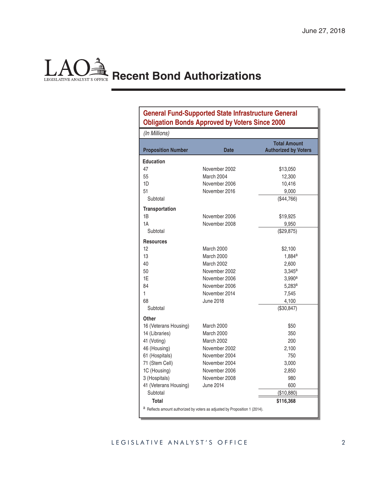### **Recent Bond Authorizations** LEGISLATIVE ANALYST'S OFFICE

#### **General Fund-Supported State Infrastructure General Obligation Bonds Approved by Voters Since 2000**

| (In Millions)                                                               |                   |                                                    |
|-----------------------------------------------------------------------------|-------------------|----------------------------------------------------|
| <b>Proposition Number</b>                                                   | <b>Date</b>       | <b>Total Amount</b><br><b>Authorized by Voters</b> |
| <b>Education</b>                                                            |                   |                                                    |
| 47                                                                          | November 2002     | \$13,050                                           |
| 55                                                                          | March 2004        | 12,300                                             |
| 1D                                                                          | November 2006     | 10,416                                             |
| 51                                                                          | November 2016     | 9,000                                              |
| Subtotal                                                                    |                   | (\$44,766)                                         |
| <b>Transportation</b>                                                       |                   |                                                    |
| 1B                                                                          | November 2006     | \$19,925                                           |
| 1A                                                                          | November 2008     | 9,950                                              |
| Subtotal                                                                    |                   | (\$29,875)                                         |
| <b>Resources</b>                                                            |                   |                                                    |
| 12                                                                          | March 2000        | \$2,100                                            |
| 13                                                                          | March 2000        | $1,884^a$                                          |
| 40                                                                          | <b>March 2002</b> | 2,600                                              |
| 50                                                                          | November 2002     | 3.345a                                             |
| 1F                                                                          | November 2006     | 3,990 <sup>a</sup>                                 |
| 84                                                                          | November 2006     | 5,283 <sup>a</sup>                                 |
| 1                                                                           | November 2014     | 7,545                                              |
| 68                                                                          | June 2018         | 4,100                                              |
| Subtotal                                                                    |                   | (\$30,847)                                         |
| Other                                                                       |                   |                                                    |
| 16 (Veterans Housing)                                                       | March 2000        | \$50                                               |
| 14 (Libraries)                                                              | March 2000        | 350                                                |
| 41 (Voting)                                                                 | <b>March 2002</b> | 200                                                |
| 46 (Housing)                                                                | November 2002     | 2,100                                              |
| 61 (Hospitals)                                                              | November 2004     | 750                                                |
| 71 (Stem Cell)                                                              | November 2004     | 3,000                                              |
| 1C (Housing)                                                                | November 2006     | 2,850                                              |
| 3 (Hospitals)                                                               | November 2008     | 980                                                |
| 41 (Veterans Housing)                                                       | June 2014         | 600                                                |
| Subtotal                                                                    |                   | (\$10,880)                                         |
| Total                                                                       |                   | \$116,368                                          |
| a Reflects amount authorized by voters as adjusted by Proposition 1 (2014). |                   |                                                    |

#### LEGISLATIVE ANALYST'S OFFICE 2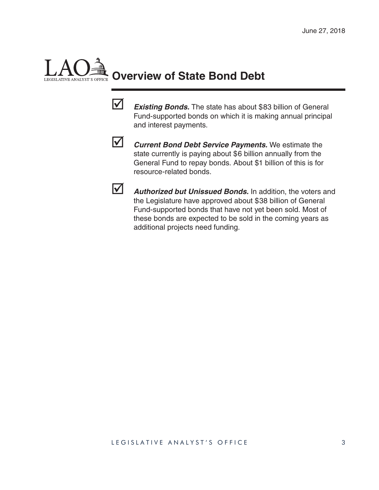# **Overview of State Bond Debt**



*Existing Bonds.* The state has about \$83 billion of General Fund-supported bonds on which it is making annual principal and interest payments.



**V** Current Bond Debt Service Payments. We estimate the state currently is paying about \$6 billion annually from the General Fund to repay bonds. About \$1 billion of this is for resource-related bonds.



**1** Authorized but Unissued Bonds. In addition, the voters and the Legislature have approved about \$38 billion of General Fund-supported bonds that have not yet been sold. Most of these bonds are expected to be sold in the coming years as additional projects need funding.